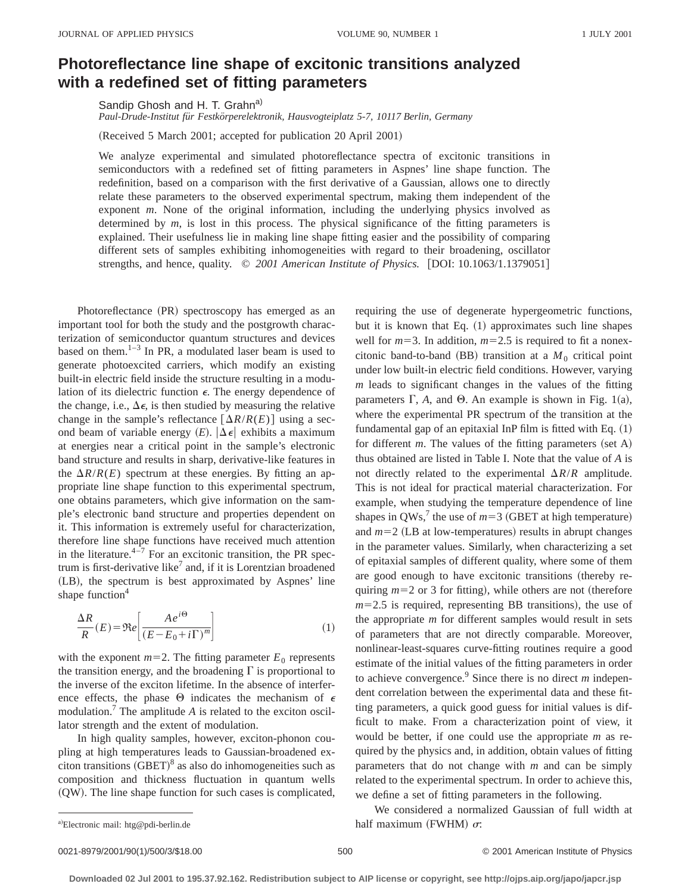## **Photoreflectance line shape of excitonic transitions analyzed with a redefined set of fitting parameters**

Sandip Ghosh and H. T. Grahn<sup>a)</sup>

*Paul-Drude-Institut fu¨r Festko¨rperelektronik, Hausvogteiplatz 5-7, 10117 Berlin, Germany*

(Received 5 March 2001; accepted for publication 20 April 2001)

We analyze experimental and simulated photoreflectance spectra of excitonic transitions in semiconductors with a redefined set of fitting parameters in Aspnes' line shape function. The redefinition, based on a comparison with the first derivative of a Gaussian, allows one to directly relate these parameters to the observed experimental spectrum, making them independent of the exponent *m*. None of the original information, including the underlying physics involved as determined by *m*, is lost in this process. The physical significance of the fitting parameters is explained. Their usefulness lie in making line shape fitting easier and the possibility of comparing different sets of samples exhibiting inhomogeneities with regard to their broadening, oscillator strengths, and hence, quality. © 2001 American Institute of Physics. [DOI: 10.1063/1.1379051]

Photoreflectance (PR) spectroscopy has emerged as an important tool for both the study and the postgrowth characterization of semiconductor quantum structures and devices based on them. $1-3$  In PR, a modulated laser beam is used to generate photoexcited carriers, which modify an existing built-in electric field inside the structure resulting in a modulation of its dielectric function  $\epsilon$ . The energy dependence of the change, i.e.,  $\Delta \epsilon$ , is then studied by measuring the relative change in the sample's reflectance  $\lceil \Delta R/R(E) \rceil$  using a second beam of variable energy  $(E)$ .  $|\Delta \epsilon|$  exhibits a maximum at energies near a critical point in the sample's electronic band structure and results in sharp, derivative-like features in the  $\Delta R/R(E)$  spectrum at these energies. By fitting an appropriate line shape function to this experimental spectrum, one obtains parameters, which give information on the sample's electronic band structure and properties dependent on it. This information is extremely useful for characterization, therefore line shape functions have received much attention in the literature. $4\frac{1}{7}$  For an excitonic transition, the PR spectrum is first-derivative like<sup>7</sup> and, if it is Lorentzian broadened (LB), the spectrum is best approximated by Aspnes' line shape function $4$ 

$$
\frac{\Delta R}{R}(E) = \Re e \left[ \frac{A e^{i\Theta}}{(E - E_0 + i\Gamma)^m} \right]
$$
\n(1)

with the exponent  $m=2$ . The fitting parameter  $E_0$  represents the transition energy, and the broadening  $\Gamma$  is proportional to the inverse of the exciton lifetime. In the absence of interference effects, the phase  $\Theta$  indicates the mechanism of  $\epsilon$ modulation.<sup> $\textsuperscript{T}$ </sup> The amplitude  $\textsuperscript{A}$  is related to the exciton oscillator strength and the extent of modulation.

In high quality samples, however, exciton-phonon coupling at high temperatures leads to Gaussian-broadened exciton transitions  $(GBET)^8$  as also do inhomogeneities such as composition and thickness fluctuation in quantum wells  $(QW)$ . The line shape function for such cases is complicated, requiring the use of degenerate hypergeometric functions, but it is known that Eq.  $(1)$  approximates such line shapes well for  $m=3$ . In addition,  $m=2.5$  is required to fit a nonexcitonic band-to-band (BB) transition at a  $M_0$  critical point under low built-in electric field conditions. However, varying *m* leads to significant changes in the values of the fitting parameters  $\Gamma$ , *A*, and  $\Theta$ . An example is shown in Fig. 1(a), where the experimental PR spectrum of the transition at the fundamental gap of an epitaxial InP film is fitted with Eq.  $(1)$ for different  $m$ . The values of the fitting parameters (set A) thus obtained are listed in Table I. Note that the value of *A* is not directly related to the experimental  $\Delta R/R$  amplitude. This is not ideal for practical material characterization. For example, when studying the temperature dependence of line shapes in QWs,<sup>7</sup> the use of  $m=3$  (GBET at high temperature) and  $m=2$  (LB at low-temperatures) results in abrupt changes in the parameter values. Similarly, when characterizing a set of epitaxial samples of different quality, where some of them are good enough to have excitonic transitions (thereby requiring  $m=2$  or 3 for fitting), while others are not (therefore  $m=2.5$  is required, representing BB transitions), the use of the appropriate *m* for different samples would result in sets of parameters that are not directly comparable. Moreover, nonlinear-least-squares curve-fitting routines require a good estimate of the initial values of the fitting parameters in order to achieve convergence.9 Since there is no direct *m* independent correlation between the experimental data and these fitting parameters, a quick good guess for initial values is difficult to make. From a characterization point of view, it would be better, if one could use the appropriate *m* as required by the physics and, in addition, obtain values of fitting parameters that do not change with *m* and can be simply related to the experimental spectrum. In order to achieve this, we define a set of fitting parameters in the following.

We considered a normalized Gaussian of full width at a) Electronic mail: htg@pdi-berlin.de half maximum (FWHM)  $\sigma$ :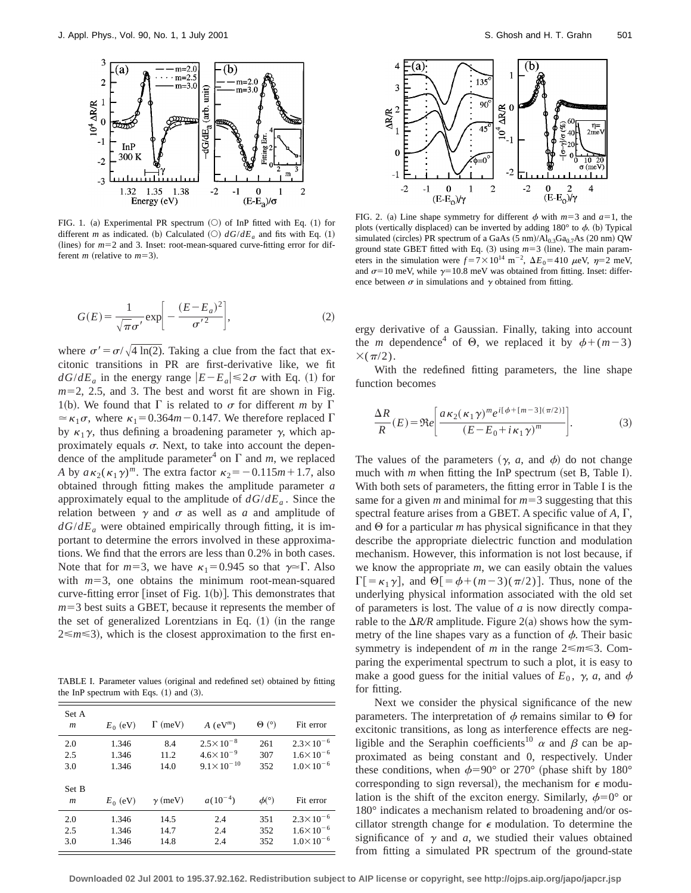

FIG. 1. (a) Experimental PR spectrum  $(O)$  of InP fitted with Eq. (1) for different *m* as indicated. (b) Calculated  $(O)$   $dG/dE_a$  and fits with Eq. (1) (lines) for  $m=2$  and 3. Inset: root-mean-squared curve-fitting error for different *m* (relative to  $m=3$ ).

$$
G(E) = \frac{1}{\sqrt{\pi}\sigma'} \exp\bigg[-\frac{(E - E_a)^2}{\sigma'^2}\bigg],\tag{2}
$$

where  $\sigma' = \frac{\sigma}{\sqrt{4 \ln(2)}}$ . Taking a clue from the fact that excitonic transitions in PR are first-derivative like, we fit  $dG/dE_a$  in the energy range  $|E-E_a| \leq 2\sigma$  with Eq. (1) for  $m=2$ , 2.5, and 3. The best and worst fit are shown in Fig. 1(b). We found that  $\Gamma$  is related to  $\sigma$  for different *m* by  $\Gamma$  $\approx \kappa_1 \sigma$ , where  $\kappa_1 = 0.364m - 0.147$ . We therefore replaced  $\Gamma$ by  $\kappa_1 \gamma$ , thus defining a broadening parameter  $\gamma$ , which approximately equals  $\sigma$ . Next, to take into account the dependence of the amplitude parameter<sup>4</sup> on  $\Gamma$  and *m*, we replaced *A* by  $a\kappa_2(\kappa_1\gamma)^m$ . The extra factor  $\kappa_2 = -0.115m+1.7$ , also obtained through fitting makes the amplitude parameter *a* approximately equal to the amplitude of  $dG/dE_a$ . Since the relation between  $\gamma$  and  $\sigma$  as well as *a* and amplitude of  $dG/dE_a$  were obtained empirically through fitting, it is important to determine the errors involved in these approximations. We find that the errors are less than 0.2% in both cases. Note that for  $m=3$ , we have  $\kappa_1=0.945$  so that  $\gamma \approx \Gamma$ . Also with  $m=3$ , one obtains the minimum root-mean-squared curve-fitting error [inset of Fig.  $1(b)$ ]. This demonstrates that  $m=3$  best suits a GBET, because it represents the member of the set of generalized Lorentzians in Eq.  $(1)$  (in the range  $2 \le m \le 3$ ), which is the closest approximation to the first en-

TABLE I. Parameter values (original and redefined set) obtained by fitting the InP spectrum with Eqs.  $(1)$  and  $(3)$ .

| Set A<br>m | $E_0$ (eV) | $\Gamma$ (meV) | $A$ (eV <sup>m</sup> ) | $\Theta$ (°)          | Fit error            |
|------------|------------|----------------|------------------------|-----------------------|----------------------|
| 2.0        | 1.346      | 8.4            | $2.5 \times 10^{-8}$   | 261                   | $2.3 \times 10^{-6}$ |
| 2.5        | 1.346      | 11.2           | $4.6 \times 10^{-9}$   | 307                   | $1.6 \times 10^{-6}$ |
| 3.0        | 1.346      | 14.0           | $9.1 \times 10^{-10}$  | 352                   | $1.0 \times 10^{-6}$ |
| Set B<br>m | $E_0$ (eV) | $\gamma$ (meV) | $a(10^{-4})$           | $\phi$ <sup>(°)</sup> | Fit error            |
| 2.0        | 1.346      | 14.5           | 2.4                    | 351                   | $2.3 \times 10^{-6}$ |
| 2.5        | 1.346      | 14.7           | 2.4                    | 352                   | $1.6 \times 10^{-6}$ |
| 3.0        | 1.346      | 14.8           | 2.4                    | 352                   | $1.0 \times 10^{-6}$ |



FIG. 2. (a) Line shape symmetry for different  $\phi$  with  $m=3$  and  $a=1$ , the plots (vertically displaced) can be inverted by adding  $180^\circ$  to  $\phi$ . (b) Typical simulated (circles) PR spectrum of a GaAs  $(5 \text{ nm})/Al_{0.3}Ga_{0.7}As$   $(20 \text{ nm})$  QW ground state GBET fitted with Eq.  $(3)$  using  $m=3$  (line). The main parameters in the simulation were  $f = 7 \times 10^{14} \text{ m}^{-2}$ ,  $\Delta E_0 = 410 \mu \text{eV}$ ,  $\eta = 2 \text{ meV}$ , and  $\sigma$ =10 meV, while  $\gamma$ =10.8 meV was obtained from fitting. Inset: difference between  $\sigma$  in simulations and  $\gamma$  obtained from fitting.

ergy derivative of a Gaussian. Finally, taking into account the *m* dependence<sup>4</sup> of  $\Theta$ , we replaced it by  $\phi + (m-3)$  $\times(\pi/2)$ .

With the redefined fitting parameters, the line shape function becomes

$$
\frac{\Delta R}{R}(E) = \Re e \left[ \frac{a \kappa_2 (\kappa_1 \gamma)^m e^{i[\phi + [m-3](\pi/2)]}}{(E - E_0 + i \kappa_1 \gamma)^m} \right].
$$
\n(3)

The values of the parameters  $(\gamma, a, \text{ and } \phi)$  do not change much with  $m$  when fitting the InP spectrum (set B, Table I). With both sets of parameters, the fitting error in Table I is the same for a given  $m$  and minimal for  $m=3$  suggesting that this spectral feature arises from a GBET. A specific value of  $A, \Gamma$ , and  $\Theta$  for a particular *m* has physical significance in that they describe the appropriate dielectric function and modulation mechanism. However, this information is not lost because, if we know the appropriate *m*, we can easily obtain the values  $\Gamma$ [= $\kappa_1 \gamma$ ], and  $\Theta$ [= $\phi$ +(m-3)( $\pi$ /2)]. Thus, none of the underlying physical information associated with the old set of parameters is lost. The value of *a* is now directly comparable to the  $\Delta R/R$  amplitude. Figure 2(a) shows how the symmetry of the line shapes vary as a function of  $\phi$ . Their basic symmetry is independent of *m* in the range  $2 \le m \le 3$ . Comparing the experimental spectrum to such a plot, it is easy to make a good guess for the initial values of  $E_0$ ,  $\gamma$ , *a*, and  $\phi$ for fitting.

Next we consider the physical significance of the new parameters. The interpretation of  $\phi$  remains similar to  $\Theta$  for excitonic transitions, as long as interference effects are negligible and the Seraphin coefficients<sup>10</sup>  $\alpha$  and  $\beta$  can be approximated as being constant and 0, respectively. Under these conditions, when  $\phi=90^{\circ}$  or 270° (phase shift by 180° corresponding to sign reversal), the mechanism for  $\epsilon$  modulation is the shift of the exciton energy. Similarly,  $\phi=0^{\circ}$  or 180° indicates a mechanism related to broadening and/or oscillator strength change for  $\epsilon$  modulation. To determine the significance of  $\gamma$  and *a*, we studied their values obtained from fitting a simulated PR spectrum of the ground-state